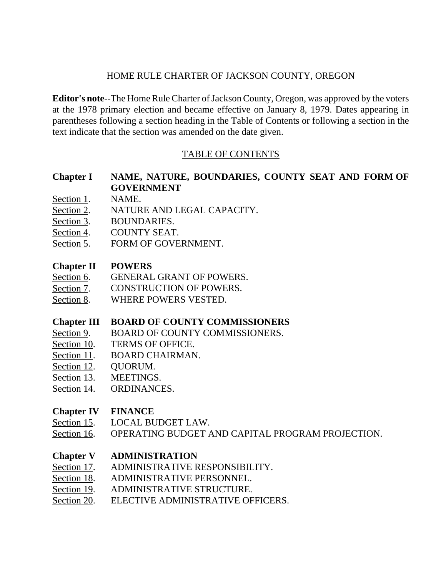## HOME RULE CHARTER OF JACKSON COUNTY, OREGON

**Editor's note--**The Home Rule Charter of Jackson County, Oregon, was approved by the voters at the 1978 primary election and became effective on January 8, 1979. Dates appearing in parentheses following a section heading in the Table of Contents or following a section in the text indicate that the section was amended on the date given.

# TABLE OF CONTENTS

# **Chapter I NAME, NATURE, BOUNDARIES, COUNTY SEAT AND FORM OF GOVERNMENT**

- Section 1. NAME.
- Section 2. NATURE AND LEGAL CAPACITY.
- Section 3. BOUNDARIES.
- Section 4. COUNTY SEAT.
- Section 5. FORM OF GOVERNMENT.

#### **Chapter II POWERS**

- Section 6. GENERAL GRANT OF POWERS.
- Section 7. CONSTRUCTION OF POWERS.
- Section 8. WHERE POWERS VESTED.

# **Chapter III BOARD OF COUNTY COMMISSIONERS**

- Section 9. BOARD OF COUNTY COMMISSIONERS.
- Section 10. TERMS OF OFFICE.
- Section 11. BOARD CHAIRMAN.
- Section 12. QUORUM.
- Section 13. MEETINGS.
- Section 14. ORDINANCES.

### **Chapter IV FINANCE**

- Section 15. LOCAL BUDGET LAW.
- Section 16. OPERATING BUDGET AND CAPITAL PROGRAM PROJECTION.

### **Chapter V ADMINISTRATION**

- Section 17. ADMINISTRATIVE RESPONSIBILITY.
- Section 18. ADMINISTRATIVE PERSONNEL.
- Section 19. ADMINISTRATIVE STRUCTURE.
- Section 20. ELECTIVE ADMINISTRATIVE OFFICERS.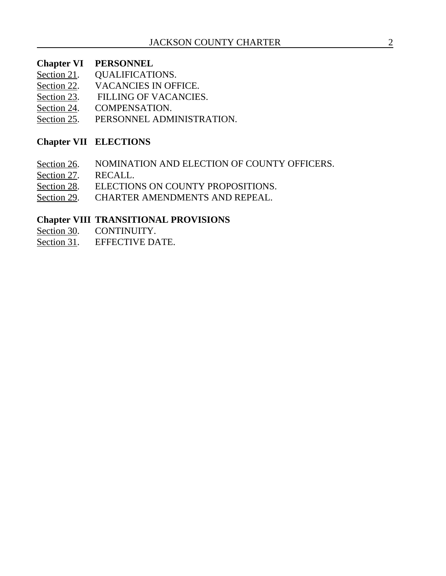#### **Chapter VI PERSONNEL**

- Section 21. QUALIFICATIONS.
- Section 22. VACANCIES IN OFFICE.
- Section 23. FILLING OF VACANCIES.
- Section 24. COMPENSATION.
- Section 25. PERSONNEL ADMINISTRATION.

## **Chapter VII ELECTIONS**

- Section 26. NOMINATION AND ELECTION OF COUNTY OFFICERS.
- Section 27. RECALL.
- Section 28. ELECTIONS ON COUNTY PROPOSITIONS.
- Section 29. CHARTER AMENDMENTS AND REPEAL.

#### **Chapter VIII TRANSITIONAL PROVISIONS**

- Section 30. CONTINUITY.
- Section 31. EFFECTIVE DATE.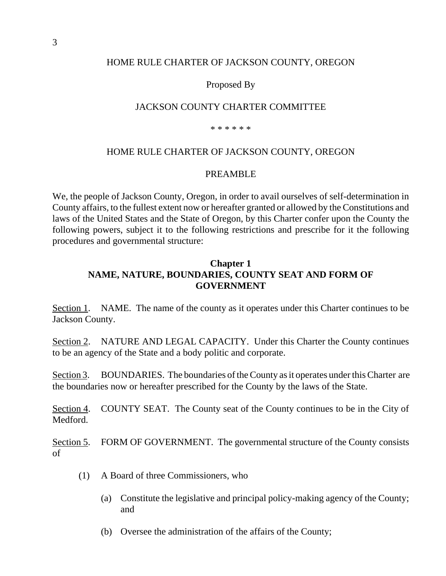#### HOME RULE CHARTER OF JACKSON COUNTY, OREGON

Proposed By

#### JACKSON COUNTY CHARTER COMMITTEE

\* \* \* \* \* \*

#### HOME RULE CHARTER OF JACKSON COUNTY, OREGON

#### PREAMBLE

We, the people of Jackson County, Oregon, in order to avail ourselves of self-determination in County affairs, to the fullest extent now or hereafter granted or allowed by the Constitutions and laws of the United States and the State of Oregon, by this Charter confer upon the County the following powers, subject it to the following restrictions and prescribe for it the following procedures and governmental structure:

### **Chapter 1 NAME, NATURE, BOUNDARIES, COUNTY SEAT AND FORM OF GOVERNMENT**

Section 1. NAME. The name of the county as it operates under this Charter continues to be Jackson County.

Section 2. NATURE AND LEGAL CAPACITY. Under this Charter the County continues to be an agency of the State and a body politic and corporate.

Section 3. BOUNDARIES. The boundaries of the County as it operates under this Charter are the boundaries now or hereafter prescribed for the County by the laws of the State.

Section 4. COUNTY SEAT. The County seat of the County continues to be in the City of Medford.

Section 5. FORM OF GOVERNMENT. The governmental structure of the County consists of

- (1) A Board of three Commissioners, who
	- (a) Constitute the legislative and principal policy-making agency of the County; and
	- (b) Oversee the administration of the affairs of the County;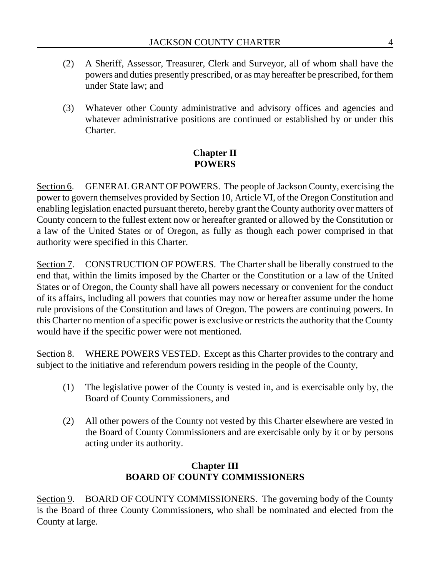- (2) A Sheriff, Assessor, Treasurer, Clerk and Surveyor, all of whom shall have the powers and duties presently prescribed, or as may hereafter be prescribed, for them under State law; and
- (3) Whatever other County administrative and advisory offices and agencies and whatever administrative positions are continued or established by or under this Charter.

# **Chapter II POWERS**

Section 6. GENERAL GRANT OF POWERS. The people of Jackson County, exercising the power to govern themselves provided by Section 10, Article VI, of the Oregon Constitution and enabling legislation enacted pursuant thereto, hereby grant the County authority over matters of County concern to the fullest extent now or hereafter granted or allowed by the Constitution or a law of the United States or of Oregon, as fully as though each power comprised in that authority were specified in this Charter.

Section 7. CONSTRUCTION OF POWERS. The Charter shall be liberally construed to the end that, within the limits imposed by the Charter or the Constitution or a law of the United States or of Oregon, the County shall have all powers necessary or convenient for the conduct of its affairs, including all powers that counties may now or hereafter assume under the home rule provisions of the Constitution and laws of Oregon. The powers are continuing powers. In this Charter no mention of a specific power is exclusive or restricts the authority that the County would have if the specific power were not mentioned.

Section 8. WHERE POWERS VESTED. Except as this Charter provides to the contrary and subject to the initiative and referendum powers residing in the people of the County,

- (1) The legislative power of the County is vested in, and is exercisable only by, the Board of County Commissioners, and
- (2) All other powers of the County not vested by this Charter elsewhere are vested in the Board of County Commissioners and are exercisable only by it or by persons acting under its authority.

# **Chapter III BOARD OF COUNTY COMMISSIONERS**

Section 9. BOARD OF COUNTY COMMISSIONERS. The governing body of the County is the Board of three County Commissioners, who shall be nominated and elected from the County at large.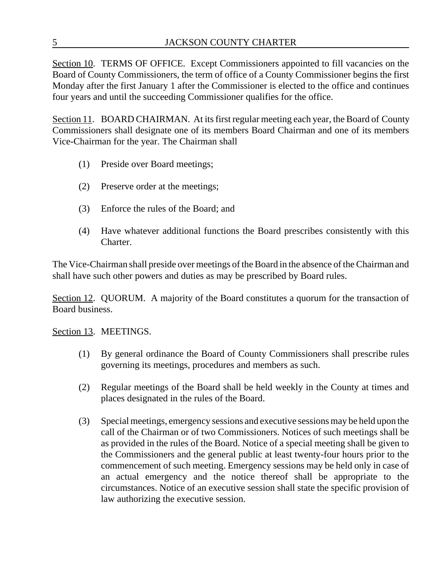Section 10. TERMS OF OFFICE. Except Commissioners appointed to fill vacancies on the Board of County Commissioners, the term of office of a County Commissioner begins the first Monday after the first January 1 after the Commissioner is elected to the office and continues four years and until the succeeding Commissioner qualifies for the office.

Section 11. BOARD CHAIRMAN. At its first regular meeting each year, the Board of County Commissioners shall designate one of its members Board Chairman and one of its members Vice-Chairman for the year. The Chairman shall

- (1) Preside over Board meetings;
- (2) Preserve order at the meetings;
- (3) Enforce the rules of the Board; and
- (4) Have whatever additional functions the Board prescribes consistently with this Charter.

The Vice-Chairman shall preside over meetings of the Board in the absence of the Chairman and shall have such other powers and duties as may be prescribed by Board rules.

Section 12. QUORUM. A majority of the Board constitutes a quorum for the transaction of Board business.

Section 13. MEETINGS.

- (1) By general ordinance the Board of County Commissioners shall prescribe rules governing its meetings, procedures and members as such.
- (2) Regular meetings of the Board shall be held weekly in the County at times and places designated in the rules of the Board.
- (3) Special meetings, emergency sessions and executive sessions may be held upon the call of the Chairman or of two Commissioners. Notices of such meetings shall be as provided in the rules of the Board. Notice of a special meeting shall be given to the Commissioners and the general public at least twenty-four hours prior to the commencement of such meeting. Emergency sessions may be held only in case of an actual emergency and the notice thereof shall be appropriate to the circumstances. Notice of an executive session shall state the specific provision of law authorizing the executive session.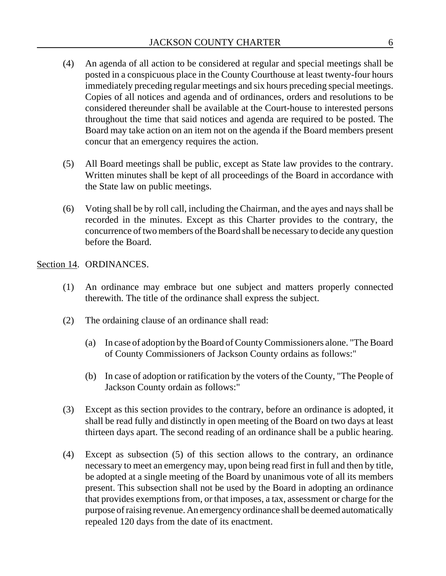- (4) An agenda of all action to be considered at regular and special meetings shall be posted in a conspicuous place in the County Courthouse at least twenty-four hours immediately preceding regular meetings and six hours preceding special meetings. Copies of all notices and agenda and of ordinances, orders and resolutions to be considered thereunder shall be available at the Court-house to interested persons throughout the time that said notices and agenda are required to be posted. The Board may take action on an item not on the agenda if the Board members present concur that an emergency requires the action.
- (5) All Board meetings shall be public, except as State law provides to the contrary. Written minutes shall be kept of all proceedings of the Board in accordance with the State law on public meetings.
- (6) Voting shall be by roll call, including the Chairman, and the ayes and nays shall be recorded in the minutes. Except as this Charter provides to the contrary, the concurrence of two members of the Board shall be necessary to decide any question before the Board.

#### Section 14. ORDINANCES.

- (1) An ordinance may embrace but one subject and matters properly connected therewith. The title of the ordinance shall express the subject.
- (2) The ordaining clause of an ordinance shall read:
	- (a) In case of adoption by the Board of County Commissioners alone. "The Board of County Commissioners of Jackson County ordains as follows:"
	- (b) In case of adoption or ratification by the voters of the County, "The People of Jackson County ordain as follows:"
- (3) Except as this section provides to the contrary, before an ordinance is adopted, it shall be read fully and distinctly in open meeting of the Board on two days at least thirteen days apart. The second reading of an ordinance shall be a public hearing.
- (4) Except as subsection (5) of this section allows to the contrary, an ordinance necessary to meet an emergency may, upon being read first in full and then by title, be adopted at a single meeting of the Board by unanimous vote of all its members present. This subsection shall not be used by the Board in adopting an ordinance that provides exemptions from, or that imposes, a tax, assessment or charge for the purpose of raising revenue. An emergency ordinance shall be deemed automatically repealed 120 days from the date of its enactment.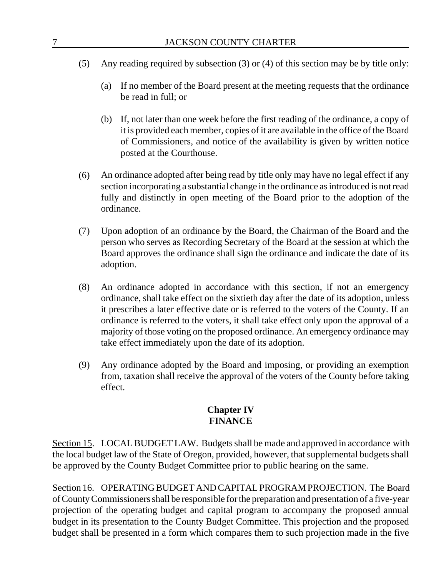- (5) Any reading required by subsection (3) or (4) of this section may be by title only:
	- (a) If no member of the Board present at the meeting requests that the ordinance be read in full; or
	- (b) If, not later than one week before the first reading of the ordinance, a copy of it is provided each member, copies of it are available in the office of the Board of Commissioners, and notice of the availability is given by written notice posted at the Courthouse.
- (6) An ordinance adopted after being read by title only may have no legal effect if any section incorporating a substantial change in the ordinance as introduced is not read fully and distinctly in open meeting of the Board prior to the adoption of the ordinance.
- (7) Upon adoption of an ordinance by the Board, the Chairman of the Board and the person who serves as Recording Secretary of the Board at the session at which the Board approves the ordinance shall sign the ordinance and indicate the date of its adoption.
- (8) An ordinance adopted in accordance with this section, if not an emergency ordinance, shall take effect on the sixtieth day after the date of its adoption, unless it prescribes a later effective date or is referred to the voters of the County. If an ordinance is referred to the voters, it shall take effect only upon the approval of a majority of those voting on the proposed ordinance. An emergency ordinance may take effect immediately upon the date of its adoption.
- (9) Any ordinance adopted by the Board and imposing, or providing an exemption from, taxation shall receive the approval of the voters of the County before taking effect.

# **Chapter IV FINANCE**

Section 15. LOCAL BUDGET LAW. Budgets shall be made and approved in accordance with the local budget law of the State of Oregon, provided, however, that supplemental budgets shall be approved by the County Budget Committee prior to public hearing on the same.

Section 16. OPERATING BUDGET AND CAPITAL PROGRAM PROJECTION. The Board of County Commissioners shall be responsible for the preparation and presentation of a five-year projection of the operating budget and capital program to accompany the proposed annual budget in its presentation to the County Budget Committee. This projection and the proposed budget shall be presented in a form which compares them to such projection made in the five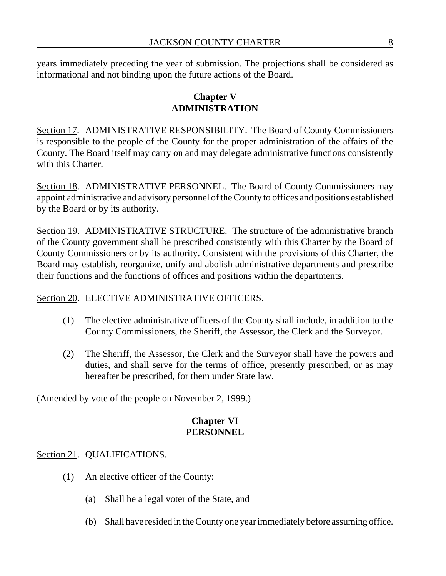years immediately preceding the year of submission. The projections shall be considered as informational and not binding upon the future actions of the Board.

# **Chapter V ADMINISTRATION**

Section 17. ADMINISTRATIVE RESPONSIBILITY. The Board of County Commissioners is responsible to the people of the County for the proper administration of the affairs of the County. The Board itself may carry on and may delegate administrative functions consistently with this Charter.

Section 18. ADMINISTRATIVE PERSONNEL. The Board of County Commissioners may appoint administrative and advisory personnel of the County to offices and positions established by the Board or by its authority.

Section 19. ADMINISTRATIVE STRUCTURE. The structure of the administrative branch of the County government shall be prescribed consistently with this Charter by the Board of County Commissioners or by its authority. Consistent with the provisions of this Charter, the Board may establish, reorganize, unify and abolish administrative departments and prescribe their functions and the functions of offices and positions within the departments.

# Section 20. ELECTIVE ADMINISTRATIVE OFFICERS.

- (1) The elective administrative officers of the County shall include, in addition to the County Commissioners, the Sheriff, the Assessor, the Clerk and the Surveyor.
- (2) The Sheriff, the Assessor, the Clerk and the Surveyor shall have the powers and duties, and shall serve for the terms of office, presently prescribed, or as may hereafter be prescribed, for them under State law.

(Amended by vote of the people on November 2, 1999.)

### **Chapter VI PERSONNEL**

# Section 21. QUALIFICATIONS.

- (1) An elective officer of the County:
	- (a) Shall be a legal voter of the State, and
	- (b) Shall have resided in the County one year immediately before assuming office.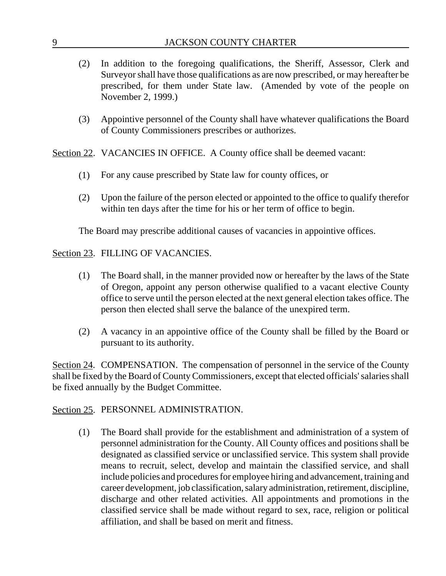|  | <b>JACKSON COUNTY CHARTER</b> |
|--|-------------------------------|
|--|-------------------------------|

- (2) In addition to the foregoing qualifications, the Sheriff, Assessor, Clerk and Surveyor shall have those qualifications as are now prescribed, or may hereafter be prescribed, for them under State law. (Amended by vote of the people on November 2, 1999.)
- (3) Appointive personnel of the County shall have whatever qualifications the Board of County Commissioners prescribes or authorizes.

Section 22. VACANCIES IN OFFICE. A County office shall be deemed vacant:

- (1) For any cause prescribed by State law for county offices, or
- (2) Upon the failure of the person elected or appointed to the office to qualify therefor within ten days after the time for his or her term of office to begin.

The Board may prescribe additional causes of vacancies in appointive offices.

## Section 23. FILLING OF VACANCIES.

- (1) The Board shall, in the manner provided now or hereafter by the laws of the State of Oregon, appoint any person otherwise qualified to a vacant elective County office to serve until the person elected at the next general election takes office. The person then elected shall serve the balance of the unexpired term.
- (2) A vacancy in an appointive office of the County shall be filled by the Board or pursuant to its authority.

Section 24. COMPENSATION. The compensation of personnel in the service of the County shall be fixed by the Board of County Commissioners, except that elected officials' salaries shall be fixed annually by the Budget Committee.

### Section 25. PERSONNEL ADMINISTRATION.

(1) The Board shall provide for the establishment and administration of a system of personnel administration for the County. All County offices and positions shall be designated as classified service or unclassified service. This system shall provide means to recruit, select, develop and maintain the classified service, and shall include policies and procedures for employee hiring and advancement, training and career development, job classification, salary administration, retirement, discipline, discharge and other related activities. All appointments and promotions in the classified service shall be made without regard to sex, race, religion or political affiliation, and shall be based on merit and fitness.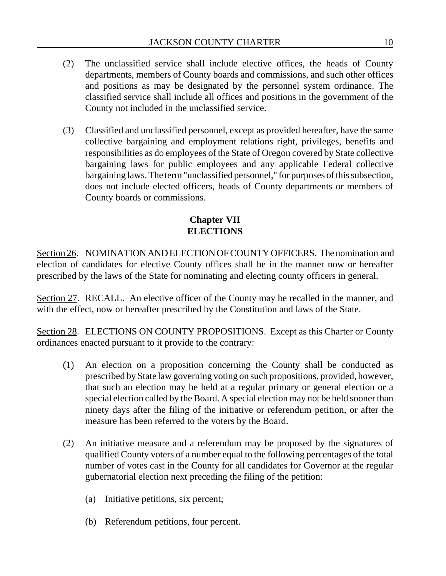- (2) The unclassified service shall include elective offices, the heads of County departments, members of County boards and commissions, and such other offices and positions as may be designated by the personnel system ordinance. The classified service shall include all offices and positions in the government of the County not included in the unclassified service.
- (3) Classified and unclassified personnel, except as provided hereafter, have the same collective bargaining and employment relations right, privileges, benefits and responsibilities as do employees of the State of Oregon covered by State collective bargaining laws for public employees and any applicable Federal collective bargaining laws. The term "unclassified personnel," for purposes of this subsection, does not include elected officers, heads of County departments or members of County boards or commissions.

# **Chapter VII ELECTIONS**

Section 26. NOMINATION AND ELECTION OF COUNTY OFFICERS. The nomination and election of candidates for elective County offices shall be in the manner now or hereafter prescribed by the laws of the State for nominating and electing county officers in general.

Section 27. RECALL. An elective officer of the County may be recalled in the manner, and with the effect, now or hereafter prescribed by the Constitution and laws of the State.

Section 28. ELECTIONS ON COUNTY PROPOSITIONS. Except as this Charter or County ordinances enacted pursuant to it provide to the contrary:

- (1) An election on a proposition concerning the County shall be conducted as prescribed by State law governing voting on such propositions, provided, however, that such an election may be held at a regular primary or general election or a special election called by the Board. A special election may not be held sooner than ninety days after the filing of the initiative or referendum petition, or after the measure has been referred to the voters by the Board.
- (2) An initiative measure and a referendum may be proposed by the signatures of qualified County voters of a number equal to the following percentages of the total number of votes cast in the County for all candidates for Governor at the regular gubernatorial election next preceding the filing of the petition:
	- (a) Initiative petitions, six percent;
	- (b) Referendum petitions, four percent.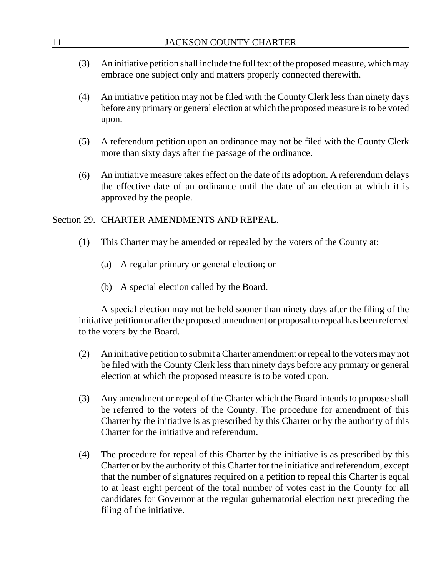| 11  | JACKSON COUNTY CHARTER                                                                                                                                                                                                                                                                                                                                                                                                                        |  |
|-----|-----------------------------------------------------------------------------------------------------------------------------------------------------------------------------------------------------------------------------------------------------------------------------------------------------------------------------------------------------------------------------------------------------------------------------------------------|--|
| (3) | An initiative petition shall include the full text of the proposed measure, which may<br>embrace one subject only and matters properly connected therewith.                                                                                                                                                                                                                                                                                   |  |
| (4) | An initiative petition may not be filed with the County Clerk less than ninety days<br>before any primary or general election at which the proposed measure is to be voted<br>upon.                                                                                                                                                                                                                                                           |  |
| (5) | A referendum petition upon an ordinance may not be filed with the County Clerk<br>more than sixty days after the passage of the ordinance.                                                                                                                                                                                                                                                                                                    |  |
| (6) | An initiative measure takes effect on the date of its adoption. A referendum delays<br>the effective date of an ordinance until the date of an election at which it is<br>approved by the people.                                                                                                                                                                                                                                             |  |
|     | Section 29. CHARTER AMENDMENTS AND REPEAL.                                                                                                                                                                                                                                                                                                                                                                                                    |  |
| (1) | This Charter may be amended or repealed by the voters of the County at:                                                                                                                                                                                                                                                                                                                                                                       |  |
|     | A regular primary or general election; or<br>(a)                                                                                                                                                                                                                                                                                                                                                                                              |  |
|     | A special election called by the Board.<br>(b)                                                                                                                                                                                                                                                                                                                                                                                                |  |
|     | A special election may not be held sooner than ninety days after the filing of the<br>initiative petition or after the proposed amendment or proposal to repeal has been referred<br>to the voters by the Board.                                                                                                                                                                                                                              |  |
| (2) | An initiative petition to submit a Charter amendment or repeal to the voters may not<br>be filed with the County Clerk less than ninety days before any primary or general<br>election at which the proposed measure is to be voted upon.                                                                                                                                                                                                     |  |
| (3) | Any amendment or repeal of the Charter which the Board intends to propose shall<br>be referred to the voters of the County. The procedure for amendment of this<br>Charter by the initiative is as prescribed by this Charter or by the authority of this<br>Charter for the initiative and referendum.                                                                                                                                       |  |
| (4) | The procedure for repeal of this Charter by the initiative is as prescribed by this<br>Charter or by the authority of this Charter for the initiative and referendum, except<br>that the number of signatures required on a petition to repeal this Charter is equal<br>to at least eight percent of the total number of votes cast in the County for all<br>candidates for Governor at the regular gubernatorial election next preceding the |  |

filing of the initiative.